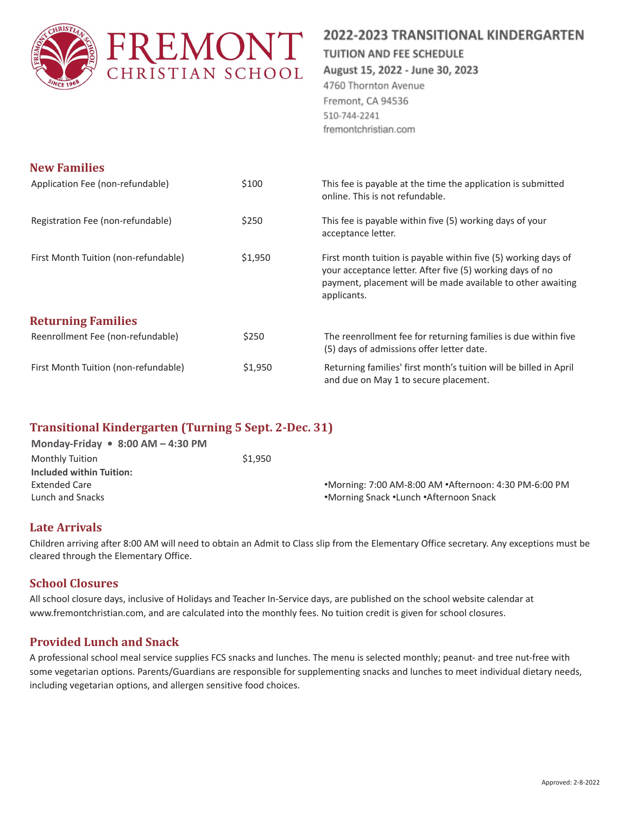

# 2022-2023 TRANSITIONAL KINDERGARTEN

#### **TUITION AND FEE SCHEDULE**

August 15, 2022 - June 30, 2023

4760 Thornton Avenue Fremont, CA 94536 510-744-2241 fremontchristian.com

| <b>New Families</b>                  |         |                                                                                                                                                                                                           |
|--------------------------------------|---------|-----------------------------------------------------------------------------------------------------------------------------------------------------------------------------------------------------------|
| Application Fee (non-refundable)     | \$100   | This fee is payable at the time the application is submitted<br>online. This is not refundable.                                                                                                           |
| Registration Fee (non-refundable)    | \$250   | This fee is payable within five (5) working days of your<br>acceptance letter.                                                                                                                            |
| First Month Tuition (non-refundable) | \$1,950 | First month tuition is payable within five (5) working days of<br>your acceptance letter. After five (5) working days of no<br>payment, placement will be made available to other awaiting<br>applicants. |
| <b>Returning Families</b>            |         |                                                                                                                                                                                                           |
| Reenrollment Fee (non-refundable)    | \$250   | The reenrollment fee for returning families is due within five<br>(5) days of admissions offer letter date.                                                                                               |
| First Month Tuition (non-refundable) | \$1,950 | Returning families' first month's tuition will be billed in April<br>and due on May 1 to secure placement.                                                                                                |

## **Transitional Kindergarten (Turning 5 Sept. 2-Dec. 31)**

| Monday-Friday $\bullet$ 8:00 AM - 4:30 PM |         |                                                       |
|-------------------------------------------|---------|-------------------------------------------------------|
| Monthly Tuition                           | \$1.950 |                                                       |
| <b>Included within Tuition:</b>           |         |                                                       |
| <b>Extended Care</b>                      |         | •Morning: 7:00 AM-8:00 AM •Afternoon: 4:30 PM-6:00 PM |
| Lunch and Snacks                          |         | •Morning Snack •Lunch •Afternoon Snack                |
|                                           |         |                                                       |

## **Late Arrivals**

Children arriving after 8:00 AM will need to obtain an Admit to Class slip from the Elementary Office secretary. Any exceptions must be cleared through the Elementary Office.

## **School Closures**

All school closure days, inclusive of Holidays and Teacher In-Service days, are published on the school website calendar at www.fremontchristian.com, and are calculated into the monthly fees. No tuition credit is given for school closures.

## **Provided Lunch and Snack**

A professional school meal service supplies FCS snacks and lunches. The menu is selected monthly; peanut- and tree nut-free with some vegetarian options. Parents/Guardians are responsible for supplementing snacks and lunches to meet individual dietary needs, including vegetarian options, and allergen sensitive food choices.